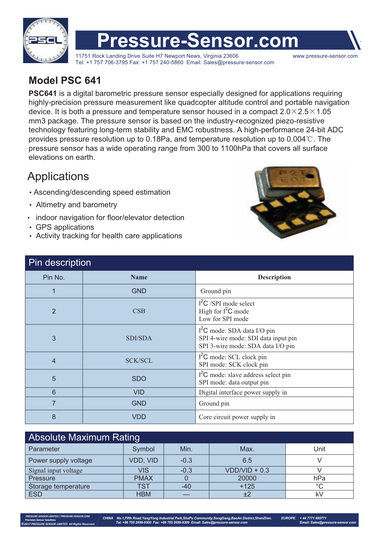

# **Pressure-Sensor.com**

11751 Rock Landing Drive Suite H7 Newport News, Virginia 23606 www.pressure-sensor.com Tel: +1 757 706-3795 Fax: +1 757 240-5860 Email: Sales@pressure-sensor.com

#### **Model PSC 641**

**PSC641** is a digital barometric pressure sensor especially designed for applications requiring highly-precision pressure measurement like quadcopter altitude control and portable navigation device. It is both a pressure and temperature sensor housed in a compact  $2.0\times2.5\times1.05$ mm3 package. The pressure sensor is based on the industry-recognized piezo-resistive technology featuring long-term stability and EMC robustness. A high-performance 24-bit ADC provides pressure resolution up to 0.18Pa, and temperature resolution up to  $0.004\degree$ C. The pressure sensor has a wide operating range from 300 to 1100hPa that covers all surface elevations on earth.

### **Applications**

- Ascending/descending speed estimation
- Altimetry and barometry
- indoor navigation for floor/elevator detection
- GPS applications

 *PRESSURE SENSOR LIMITED / PRESSURE-SENSOR.COM ©2017 PRESSURE SENSOR LIMITED All Rights Reserved.*

- Activity tracking for health care applications



| Pin description |                |                                                                                                          |  |  |  |  |  |
|-----------------|----------------|----------------------------------------------------------------------------------------------------------|--|--|--|--|--|
| Pin No.         | <b>Name</b>    | <b>Description</b>                                                                                       |  |  |  |  |  |
| 1               | <b>GND</b>     | Ground pin                                                                                               |  |  |  |  |  |
| $\overline{2}$  | CSB            | $l^2C$ /SPI mode select<br>High for $l^2C$ mode<br>Low for SPI mode                                      |  |  |  |  |  |
| 3               | SDI/SDA        | $I2C$ mode: SDA data I/O pin<br>SPI 4-wire mode: SDI data input pin<br>SPI 3-wire mode: SDA data I/O pin |  |  |  |  |  |
| $\overline{4}$  | <b>SCK/SCL</b> | $l^2C$ mode: SCL clock pin<br>SPI mode: SCK clock pin                                                    |  |  |  |  |  |
| 5               | <b>SDO</b>     | $12C$ mode: slave address select pin<br>SPI mode: data output pin                                        |  |  |  |  |  |
| $6\phantom{1}6$ | <b>VID</b>     | Digital interface power supply in                                                                        |  |  |  |  |  |
| $\overline{7}$  | <b>GND</b>     | Ground pin                                                                                               |  |  |  |  |  |
| 8               | <b>VDD</b>     | Core circuit power supply in                                                                             |  |  |  |  |  |

| <b>Absolute Maximum Rating</b> |             |        |                 |         |  |  |  |  |  |
|--------------------------------|-------------|--------|-----------------|---------|--|--|--|--|--|
| Parameter                      | Symbol      | Min.   | Max.            | Unit    |  |  |  |  |  |
| Power supply voltage           | VDD, VID    | $-0.3$ | 6.5             |         |  |  |  |  |  |
| Signal input voltage           | <b>VIS</b>  | $-0.3$ | $VDD/VID + 0.3$ |         |  |  |  |  |  |
| Pressure                       | <b>PMAX</b> |        | 20000           | hPa     |  |  |  |  |  |
| Storage temperature            | TS1         | $-40$  | $+125$          | $\circ$ |  |  |  |  |  |
| <b>ESD</b>                     | <b>HBM</b>  |        | ±2              | k۱      |  |  |  |  |  |